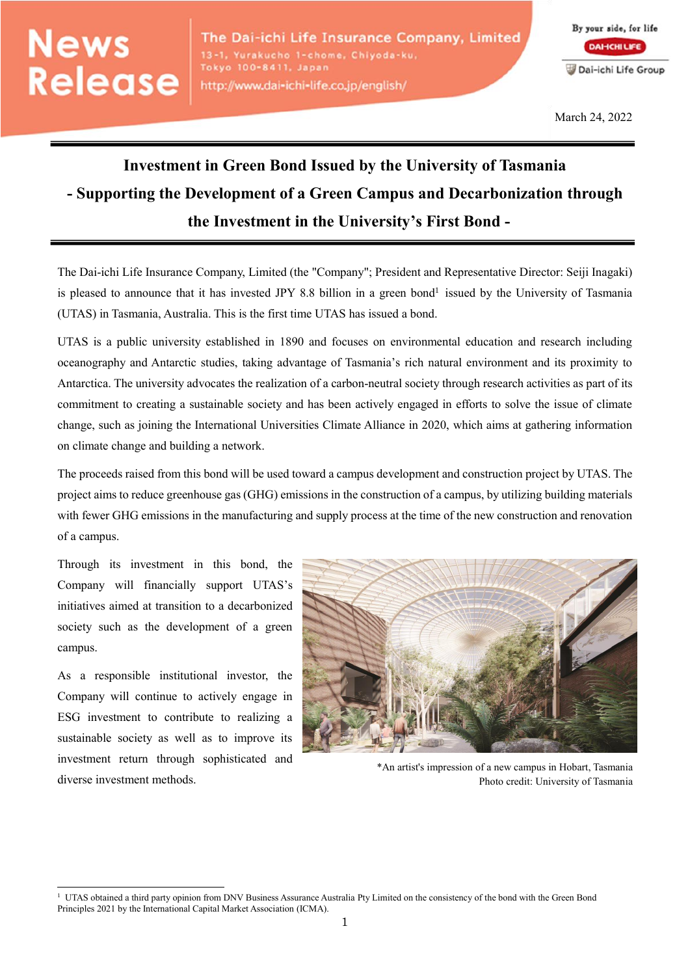## **News** Release

By your side, for life **DAHCHILIFE** Dai-ichi Life Group

March 24, 2022

## **Investment in Green Bond Issued by the University of Tasmania - Supporting the Development of a Green Campus and Decarbonization through the Investment in the University's First Bond -**

The Dai-ichi Life Insurance Company, Limited (the "Company"; President and Representative Director: Seiji Inagaki) is pleased to announce that it has invested JPY 8.8 billion in a green bond<sup>1</sup> issued by the University of Tasmania (UTAS) in Tasmania, Australia. This is the first time UTAS has issued a bond.

UTAS is a public university established in 1890 and focuses on environmental education and research including oceanography and Antarctic studies, taking advantage of Tasmania's rich natural environment and its proximity to Antarctica. The university advocates the realization of a carbon-neutral society through research activities as part of its commitment to creating a sustainable society and has been actively engaged in efforts to solve the issue of climate change, such as joining the International Universities Climate Alliance in 2020, which aims at gathering information on climate change and building a network.

The proceeds raised from this bond will be used toward a campus development and construction project by UTAS. The project aims to reduce greenhouse gas (GHG) emissions in the construction of a campus, by utilizing building materials with fewer GHG emissions in the manufacturing and supply process at the time of the new construction and renovation of a campus.

Through its investment in this bond, the Company will financially support UTAS's initiatives aimed at transition to a decarbonized society such as the development of a green campus.

As a responsible institutional investor, the Company will continue to actively engage in ESG investment to contribute to realizing a sustainable society as well as to improve its investment return through sophisticated and diverse investment methods.

 $\overline{a}$ 



\*An artist's impression of a new campus in Hobart, Tasmania Photo credit: University of Tasmania

 $1 \text{ UTAS}$  obtained a third party opinion from DNV Business Assurance Australia Pty Limited on the consistency of the bond with the Green Bond Principles 2021 by the International Capital Market Association (ICMA).